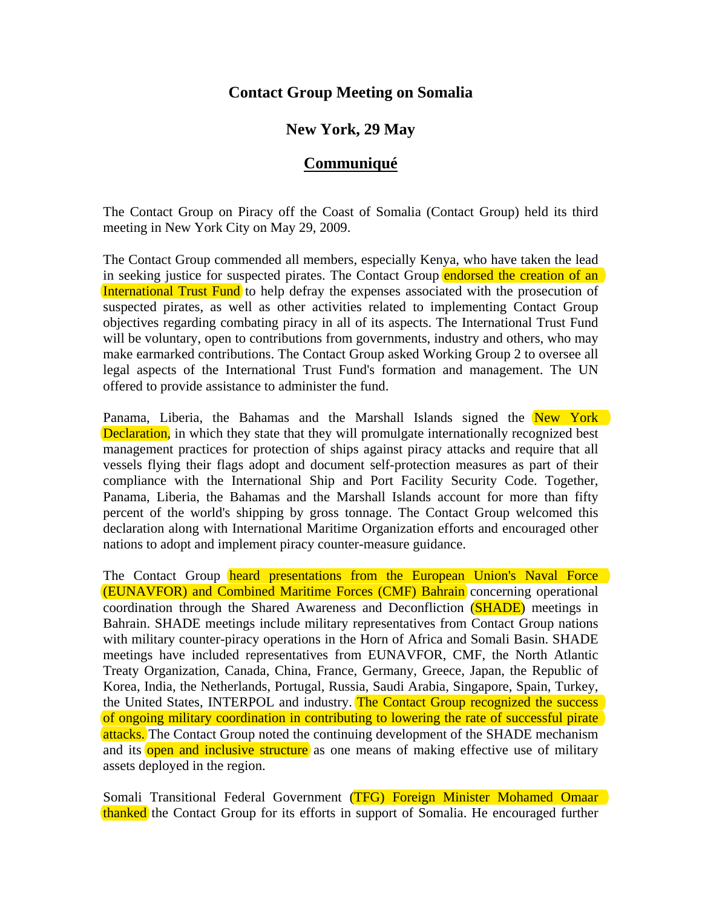# **Contact Group Meeting on Somalia**

## **New York, 29 May**

## **Communiqué**

The Contact Group on Piracy off the Coast of Somalia (Contact Group) held its third meeting in New York City on May 29, 2009.

The Contact Group commended all members, especially Kenya, who have taken the lead in seeking justice for suspected pirates. The Contact Group endorsed the creation of an International Trust Fund to help defray the expenses associated with the prosecution of suspected pirates, as well as other activities related to implementing Contact Group objectives regarding combating piracy in all of its aspects. The International Trust Fund will be voluntary, open to contributions from governments, industry and others, who may make earmarked contributions. The Contact Group asked Working Group 2 to oversee all legal aspects of the International Trust Fund's formation and management. The UN offered to provide assistance to administer the fund.

Panama, Liberia, the Bahamas and the Marshall Islands signed the New York Declaration, in which they state that they will promulgate internationally recognized best management practices for protection of ships against piracy attacks and require that all vessels flying their flags adopt and document self-protection measures as part of their compliance with the International Ship and Port Facility Security Code. Together, Panama, Liberia, the Bahamas and the Marshall Islands account for more than fifty percent of the world's shipping by gross tonnage. The Contact Group welcomed this declaration along with International Maritime Organization efforts and encouraged other nations to adopt and implement piracy counter-measure guidance.

The Contact Group heard presentations from the European Union's Naval Force (EUNAVFOR) and Combined Maritime Forces (CMF) Bahrain concerning operational coordination through the Shared Awareness and Deconfliction (SHADE) meetings in Bahrain. SHADE meetings include military representatives from Contact Group nations with military counter-piracy operations in the Horn of Africa and Somali Basin. SHADE meetings have included representatives from EUNAVFOR, CMF, the North Atlantic Treaty Organization, Canada, China, France, Germany, Greece, Japan, the Republic of Korea, India, the Netherlands, Portugal, Russia, Saudi Arabia, Singapore, Spain, Turkey, the United States, INTERPOL and industry. The Contact Group recognized the success of ongoing military coordination in contributing to lowering the rate of successful pirate attacks. The Contact Group noted the continuing development of the SHADE mechanism and its open and inclusive structure as one means of making effective use of military assets deployed in the region.

Somali Transitional Federal Government (TFG) Foreign Minister Mohamed Omaar thanked the Contact Group for its efforts in support of Somalia. He encouraged further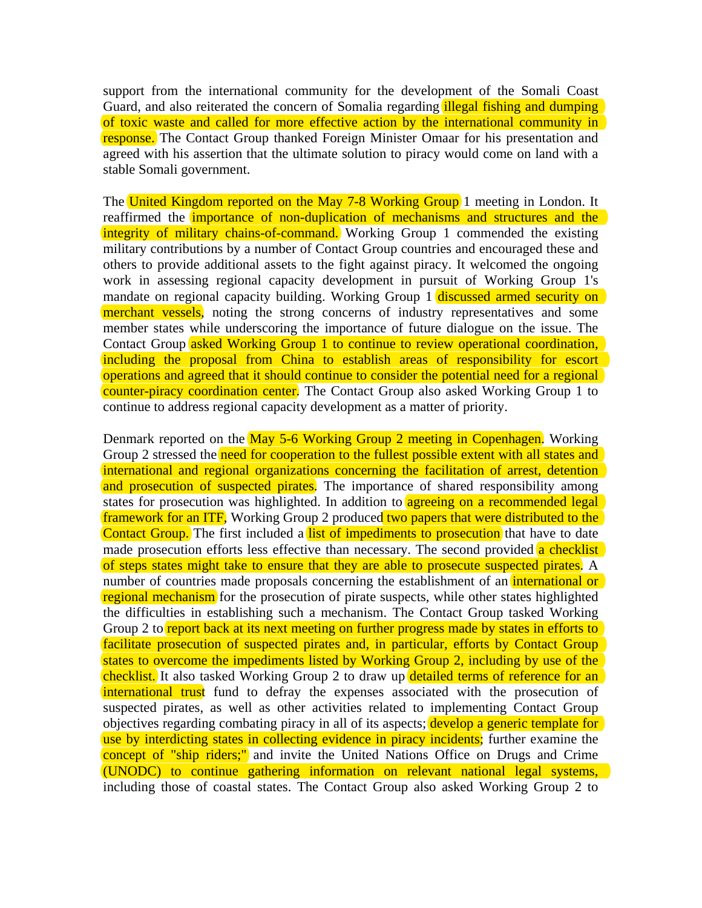support from the international community for the development of the Somali Coast Guard, and also reiterated the concern of Somalia regarding *illegal fishing and dumping* of toxic waste and called for more effective action by the international community in response. The Contact Group thanked Foreign Minister Omaar for his presentation and agreed with his assertion that the ultimate solution to piracy would come on land with a stable Somali government.

The United Kingdom reported on the May 7-8 Working Group 1 meeting in London. It reaffirmed the *importance* of non-duplication of mechanisms and structures and the integrity of military chains-of-command. Working Group 1 commended the existing military contributions by a number of Contact Group countries and encouraged these and others to provide additional assets to the fight against piracy. It welcomed the ongoing work in assessing regional capacity development in pursuit of Working Group 1's mandate on regional capacity building. Working Group 1 discussed armed security on merchant vessels, noting the strong concerns of industry representatives and some member states while underscoring the importance of future dialogue on the issue. The Contact Group asked Working Group 1 to continue to review operational coordination, including the proposal from China to establish areas of responsibility for escort operations and agreed that it should continue to consider the potential need for a regional counter-piracy coordination center. The Contact Group also asked Working Group 1 to continue to address regional capacity development as a matter of priority.

Denmark reported on the May 5-6 Working Group 2 meeting in Copenhagen. Working Group 2 stressed the need for cooperation to the fullest possible extent with all states and international and regional organizations concerning the facilitation of arrest, detention and prosecution of suspected pirates. The importance of shared responsibility among states for prosecution was highlighted. In addition to **agreeing on a recommended legal** framework for an ITF, Working Group 2 produced two papers that were distributed to the Contact Group. The first included a list of impediments to prosecution that have to date made prosecution efforts less effective than necessary. The second provided a checklist of steps states might take to ensure that they are able to prosecute suspected pirates. A number of countries made proposals concerning the establishment of an *international or* regional mechanism for the prosecution of pirate suspects, while other states highlighted the difficulties in establishing such a mechanism. The Contact Group tasked Working Group 2 to report back at its next meeting on further progress made by states in efforts to facilitate prosecution of suspected pirates and, in particular, efforts by Contact Group states to overcome the impediments listed by Working Group 2, including by use of the checklist. It also tasked Working Group 2 to draw up detailed terms of reference for an international trust fund to defray the expenses associated with the prosecution of suspected pirates, as well as other activities related to implementing Contact Group objectives regarding combating piracy in all of its aspects; **develop a generic template for** use by interdicting states in collecting evidence in piracy incidents; further examine the concept of "ship riders;" and invite the United Nations Office on Drugs and Crime (UNODC) to continue gathering information on relevant national legal systems, including those of coastal states. The Contact Group also asked Working Group 2 to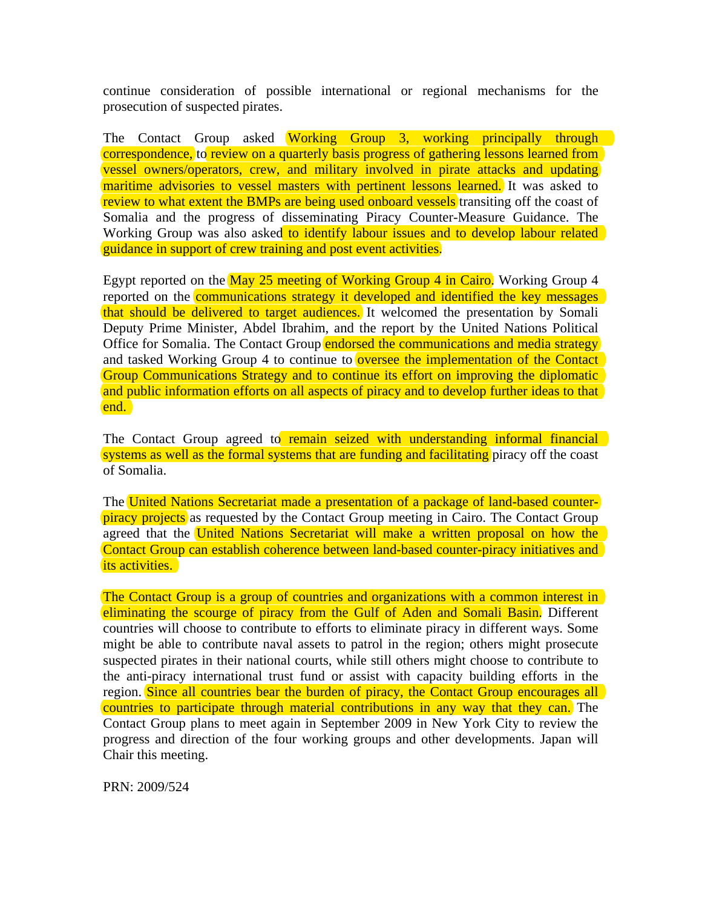continue consideration of possible international or regional mechanisms for the prosecution of suspected pirates.

The Contact Group asked Working Group 3, working principally through correspondence, to review on a quarterly basis progress of gathering lessons learned from vessel owners/operators, crew, and military involved in pirate attacks and updating maritime advisories to vessel masters with pertinent lessons learned. It was asked to review to what extent the BMPs are being used onboard vessels transiting off the coast of Somalia and the progress of disseminating Piracy Counter-Measure Guidance. The Working Group was also asked to identify labour issues and to develop labour related guidance in support of crew training and post event activities.

Egypt reported on the May 25 meeting of Working Group 4 in Cairo. Working Group 4 reported on the **communications strategy it developed and identified the key messages** that should be delivered to target audiences. It welcomed the presentation by Somali Deputy Prime Minister, Abdel Ibrahim, and the report by the United Nations Political Office for Somalia. The Contact Group endorsed the communications and media strategy and tasked Working Group 4 to continue to **oversee the implementation of the Contact** Group Communications Strategy and to continue its effort on improving the diplomatic and public information efforts on all aspects of piracy and to develop further ideas to that end.

The Contact Group agreed to remain seized with understanding informal financial systems as well as the formal systems that are funding and facilitating piracy off the coast of Somalia.

The United Nations Secretariat made a presentation of a package of land-based counterpiracy projects as requested by the Contact Group meeting in Cairo. The Contact Group agreed that the United Nations Secretariat will make a written proposal on how the Contact Group can establish coherence between land-based counter-piracy initiatives and its activities.

The Contact Group is a group of countries and organizations with a common interest in eliminating the scourge of piracy from the Gulf of Aden and Somali Basin. Different countries will choose to contribute to efforts to eliminate piracy in different ways. Some might be able to contribute naval assets to patrol in the region; others might prosecute suspected pirates in their national courts, while still others might choose to contribute to the anti-piracy international trust fund or assist with capacity building efforts in the region. Since all countries bear the burden of piracy, the Contact Group encourages all countries to participate through material contributions in any way that they can. The Contact Group plans to meet again in September 2009 in New York City to review the progress and direction of the four working groups and other developments. Japan will Chair this meeting.

PRN: 2009/524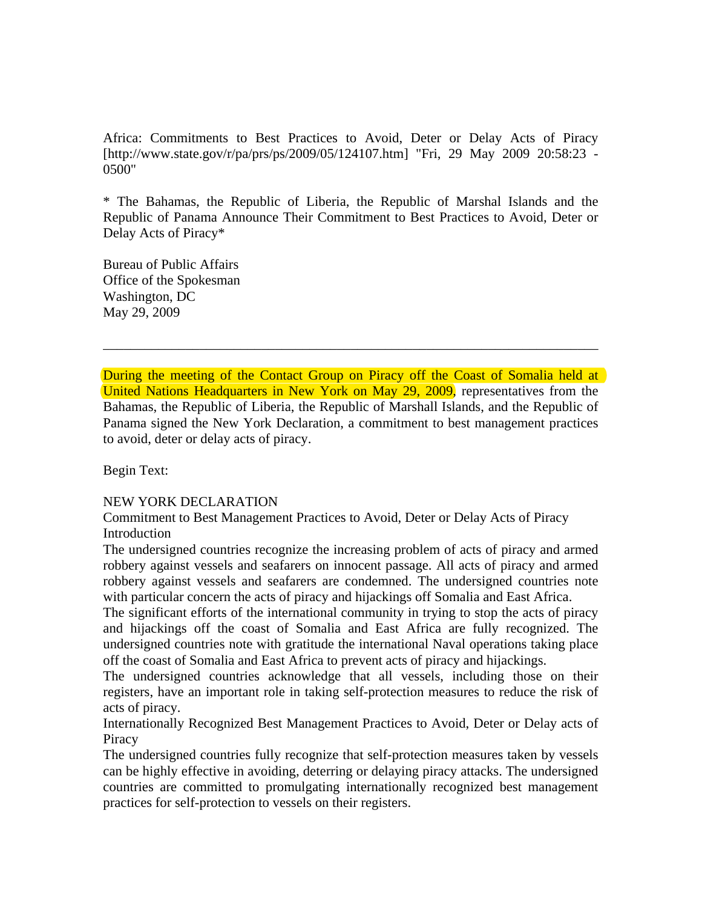Africa: Commitments to Best Practices to Avoid, Deter or Delay Acts of Piracy [http://www.state.gov/r/pa/prs/ps/2009/05/124107.htm] "Fri, 29 May 2009 20:58:23 - 0500"

\* The Bahamas, the Republic of Liberia, the Republic of Marshal Islands and the Republic of Panama Announce Their Commitment to Best Practices to Avoid, Deter or Delay Acts of Piracy\*

Bureau of Public Affairs Office of the Spokesman Washington, DC May 29, 2009

During the meeting of the Contact Group on Piracy off the Coast of Somalia held at United Nations Headquarters in New York on May 29, 2009, representatives from the Bahamas, the Republic of Liberia, the Republic of Marshall Islands, and the Republic of Panama signed the New York Declaration, a commitment to best management practices to avoid, deter or delay acts of piracy.

\_\_\_\_\_\_\_\_\_\_\_\_\_\_\_\_\_\_\_\_\_\_\_\_\_\_\_\_\_\_\_\_\_\_\_\_\_\_\_\_\_\_\_\_\_\_\_\_\_\_\_\_\_\_\_\_\_\_\_\_\_\_\_\_\_\_\_\_\_\_\_\_

Begin Text:

#### NEW YORK DECLARATION

Commitment to Best Management Practices to Avoid, Deter or Delay Acts of Piracy **Introduction** 

The undersigned countries recognize the increasing problem of acts of piracy and armed robbery against vessels and seafarers on innocent passage. All acts of piracy and armed robbery against vessels and seafarers are condemned. The undersigned countries note with particular concern the acts of piracy and hijackings off Somalia and East Africa.

The significant efforts of the international community in trying to stop the acts of piracy and hijackings off the coast of Somalia and East Africa are fully recognized. The undersigned countries note with gratitude the international Naval operations taking place off the coast of Somalia and East Africa to prevent acts of piracy and hijackings.

The undersigned countries acknowledge that all vessels, including those on their registers, have an important role in taking self-protection measures to reduce the risk of acts of piracy.

Internationally Recognized Best Management Practices to Avoid, Deter or Delay acts of **Piracy** 

The undersigned countries fully recognize that self-protection measures taken by vessels can be highly effective in avoiding, deterring or delaying piracy attacks. The undersigned countries are committed to promulgating internationally recognized best management practices for self-protection to vessels on their registers.